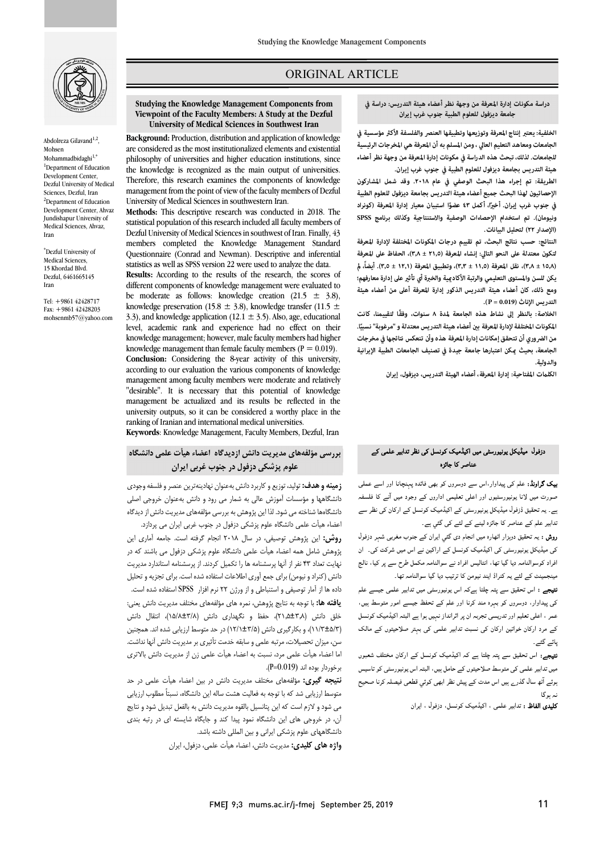

Abdolreza Gilavand $^{1,2}$ Mohsen Mohammadbidaghi $1,*$ <sup>1</sup>Department of Education Development Center, Dezful University of Medical Sciences, Dezful, Iran <sup>2</sup>Department of Education Development Center, Ahvaz Jundishapur University of Medical Sciences, Ahvaz, Iran

\* Dezful University of Medical Sciences, 15 Khordad Blvd. Dezful, 6461665145 Iran

Tel: +9861 42428717 Fax: +9861 42428203 mohsenmb57@yahoo.com

# ORIGINAL ARTICLE

#### **Studying the Knowledge Management Components from**  University of Medical Sciences in Southwest Iran **Viewpoint of the Faculty Members: A Study at the Dezful**

i

 **Background:** Production, distribution and application of knowledge are considered as the most institutionalized elements and existential the knowledge is recognized as the main output of universities. Therefore, this research examines the components of knowledge University of Medical Sciences in southwestern Iran. philosophy of universities and higher education institutions, since management from the point of view of the faculty members of Dezful

 **Methods:** This descriptive research was conducted in 2018. The statistical population of this research included all faculty members of members completed the Knowledge Management Standard Questionnaire (Conrad and Newman). Descriptive and inferential statistics as well as SPSS version 22 were used to analyze the data. different components of knowledge management were evaluated to be moderate as follows: knowledge creation  $(21.5 \pm 3.8)$ , 3.3), and knowledge application (12.1  $\pm$  3.5). Also, age, educational level, academic rank and experience had no effect on their knowledge management; however, male faculty members had higher **Conclusion:** Considering the 8-year activity of this university, according to our evaluation the various components of knowledge "desirable". It is necessary that this potential of knowledge management be actualized and its results be reflected in the university outputs, so it can be considered a worthy place in the Dezful University of Medical Sciences in southwest of Iran. Finally, 43 **Results:** According to the results of the research, the scores of knowledge preservation (15.8  $\pm$  3.8), knowledge transfer (11.5  $\pm$ knowledge management than female faculty members ( $P = 0.019$ ). management among faculty members were moderate and relatively ranking of Iranian and international medical universities.

**Keywords**: Knowledge Management, Faculty Members, Dezful, Iran

# **بررسی مؤلفههاي مدیریت دانش ازدیدگاه اعضاء هیأت علمی دانشگاه علوم پزشکی دزفول در جنوب غربی ایران**

 **زمینه و هدف:** تولید، توزیع و کاربرد دانش بهعنوان نهادینهترین عنصر و فلسفه وجودي دانشگاهها و مؤسسات آموزش عالی به شمار می رود و دانش بهعنوان خروجی اصلی ه ستادها ساعت می شود. ندین پروستی به بزرسی موسستی سنتیریت دانش از د<br>اعضاء هیأت علمی دانشگاه علوم پزشکی دزفول در جنوب غربی ایران می پردازد. دانشگاهها شناخته می شود. لذا این پژوهش به بررسی مؤلفههاي مدیریت دانش از دیدگاه

 **روش:** این پژوهش توصیفی، در سال 2018 انجام گرفته است. جامعه آماري این پژوهش شامل همه اعضاء هیأت علمی دانشگاه علوم پزشکی دزفول می باشند که در نهایت تعداد 43 نفر از آنها پرسشنامه ها را تکمیل کردند. از پرسشنامه استاندارد مدیریت دانش (کنراد و نیومن) براي جمع آوري اطلاعات استفاده شده است. براي تجزیه و تحلیل داده ها از آمار توصیفی و استنباطی و از ورژن 22 نرم افزار SPSS استفاده شده است. **یافته ها:** با توجه به نتایج پژوهش، نمره هاي مؤلفههاي مختلف مدیریت دانش یعنی: خلق دانش (21,5±3,8)، حفظ و نگهداري دانش (15/8±3/8)، انتقال دانش سن، میزان تحصیلات، مرتبه علمی و سابقه خدمت تأثیري بر مدیریت دانش آنها نداشت. اما اعضاء هیأت علمی مرد، نسبت به اعضاء هیأت علمی زن از مدیریت دانش بالاتري برخوردار بوده اند (0.019=P(. (11/3±5/3)، و بکارگیري دانش (12/1±3/5) در حد متوسط ارزیابی شده اند. همچنین

 **نتیجه گیري:** مؤلفههاي مختلف مدیریت دانش در بین اعضاء هیأت علمی در حد متوسط ارزیابی شد که با توجه به فعالیت هشت ساله این دانشگاه، نسبتاً مطلوب ارزیابی می شود و لازم است که این پتانسیل بالقوه مدیریت دانش به بالفعل تبدیل شود و نتایج آن، در خروجی هاي این دانشگاه نمود پیدا کند و جایگاه شایسته اي در رتبه بندي دانشگاههاي علوم پزشکی ایرانی و بین المللی داشته باشد.

**واژه هاي کلیدي:** مدیریت دانش، اعضاء هیأت علمی، دزفول، ایران

ص

 **الخلفية: يعتبر إنتاج المعرفة وتوزيعها وتطبيقها العنصر والفلسفة الأك مؤسسية في Iran Southwest in Sciences Medical of University للجامعات. لذلك، تبحث هذه الدراسة في مكونات إدارة المعرفة من وجهة نظر أعضاء هيئة التدريس بجامعة ديزفول للعلوم الطبية في جنوب غرب إيران. الجامعات ومعاهد التعليم العالي ، ومن المسلم به أن المعرفة هي المخرجات الرئيسية** 

 **الطريقة: تم إجراء هذا البحث الوصفي في عام .٢٠١٨ وقد شمل المشاركون الإحصائيون لهذا البحث جميع أعضاء هيئة التدريس بجامعة ديزفول للعلوم الطبية ونيومان). تم استخدام الإحصاءات الوصفية والاستنتاجية وكذلك برنامج SPSS (الإصدار ٢٢) لتحليل البيانات.**  في جنوب غرب إيران. أخيرًا، أكمل ٤٣ عضوًا استبيان معيار إدارة المعرفة (كونراد

 **النتائج: حسب نتائج البحث، تم تقييم درجات المكونات المختلفة لإدارة المعرفة لتكون معتدلة على النحو التالي: إنشاء المعرفة (٢١٫٥ ± ٣٫٨)، الحفاظ على المعرفة (١٥٫٨ ± ٣٫٨)، نقل المعرفة (١١٫٥ ± ٣٫٣)، وتطبيق المعرفة (١٢٫١ ± ٣٫٥). أيضا،ً ومع ذلك، كان أعضاء هيئة التدريس الذكور إدارة المعرفة أعلى من أعضاء هيئة التدريس الإناث (0.019 = P(. يكن للسن والمستوى التعليمي والرتبة الأكادية والخبرة أي تأث على إدارة معارفهم؛** 

 **الخلاصة: بالنظر إلى نشاط هذه الجامعة لمدة ٨ سنوات، وفقًا لتقييمنا، كانت**  ا**لمكونات المختلفة لإدارة المعرفة بين أعضاء هيئة التدريس معتدلة و "مرغوبة" نسبيًا. من الضروري أن تتحقق إمكانات إدارة المعرفة هذه وأن تنعكس نتائجها في مخرجات الجامعة، بحيث كن اعتبارها جامعة جيدة في تصنيف الجامعات الطبية الإيرانية والدولية.** 

**الكلت المفتاحية: إدارة المعرفة، أعضاء الهيئة التدريس، ديزفول، إيران**

### دزفول میڈیکل یونیورسٹی میں اکیڈمیک کونسل کی نظر تدابیر علمی کے<br>مطالعہ اللہ اللہ کے اس کا مطالعہ عناصر کا جائزہ

**یپک گراونڈ:** علم کی پیداوار،اس سے دوسروں کو بھی فائدہ پہنچانا اور اسے عملی<br>۔۔۔ عورت میں وہ پولیورسیوں درر ہے معیشی ماررن سے زبود میں سے مستصدر<br>ہے۔ یہ تحقیق ڈزفول میڈیکل یونیورسٹی کے اکیڈمیک کونسل کے ارکان کی نظر سے ا ہ ۔ صورت میں لانا یونیورسٹیوں اور اعلی تعلیمی اداروں کے وجود میں آنے کا فلسفہ

۔<br>ر**وش :** یہ تحقیق دوہزار اٹھارہ میں انجام دی گئي ایران کے جنوب مغربی شہر دزفول کی میڈیکل یونیورسٹی کی اکیڈمیک کونسل کے اراکین نے اس میں شرکت کی۔ ان افراد کوسوالنامہ دیا گیا تھا، انتالیس افراد نے سوالنامہ مکمل طرح سے پر کیا، نالج مینجمینٹ کے لئے یہ کنراڈ ایند نیومن کا ترتیب دیا گیا سوالنامہ تھا۔

**تیجے :** اس تحقیق سے پتہ چلتا ہےکہ اس یونیورسٹی میں تدابیر علمی جیسے علم کی پیداوار، دوسروں کو بہرہ مند کرنا اور علم کے تحفظ جیسے امور متوسط ہیں، عمر ، اعلی تعلیم اور تدریسی تجربہ ان پر اثرانداز نہیں ہوا ہے البتہ اکیڈمیک کونسل کے مرد ارکان خواتین ارکان کی نسبت تدابیر علمی کی بہتر صلاحیتوں کے مالک<br>مصدم یائے گئے۔

۔<br>**تیجے:** اس تحقیق سے پتہ چلتا ہے کہ اکیڈمیک کونسل کے ارکان مختلف شعبوں .<br>میں تدابیر علمی کی متوسط صلاحیتوں کے حامل ہیں، البتہ اس یونیورسٹی کو تاسیس ۔<br>بوئے آٹھ سال گذر<sub>ے ہ</sub>یں اس مدت کے پیش نظر ابھی کوئي قطعی فیصلہ کرنا صحیح نہ یہ گا

**کلیدی الفاظ :** تدابیر علمی ، اکیڈمیک کونسل، دزفول ، ایران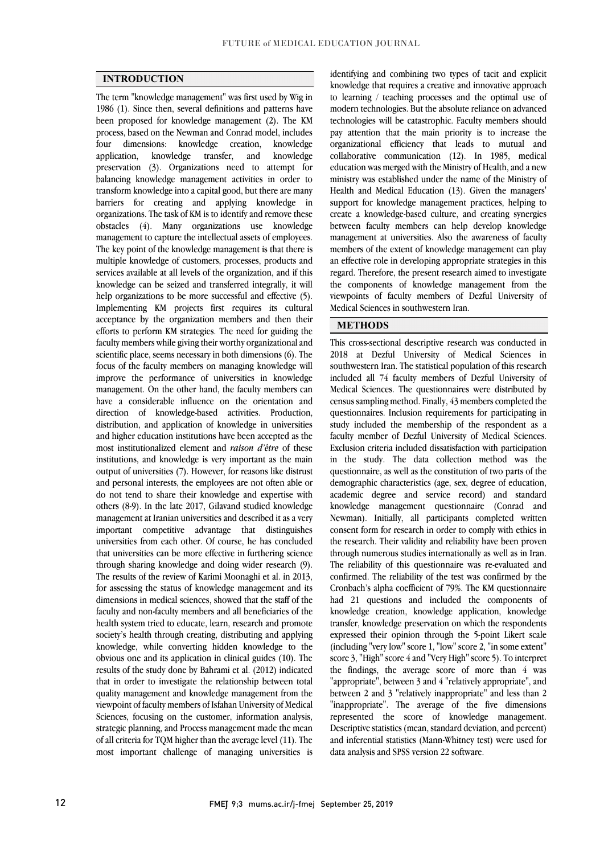## **INTRODUCTION**

 The term "knowledge management" was first used by Wig in 1986 (1). Since then, several definitions and patterns have been proposed for knowledge management (2). The KM process, based on the Newman and Conrad model, includes knowledge<br>knowledge preservation (3). Organizations need to attempt for balancing knowledge management activities in order to barriers for creating and applying knowledge in organizations. The task of KM is to identify and remove these obstacles (4). Many organizations use knowledge management to capture the intellectual assets of employees. The key point of the knowledge management is that there is services available at all levels of the organization, and if this knowledge can be seized and transferred integrally, it will help organizations to be more successful and effective (5). acceptance by the organization members and then their efforts to perform KM strategies. The need for guiding the faculty members while giving their worthy organizational and scientific place, seems necessary in both dimensions (6). The focus of the faculty members on managing knowledge will management. On the other hand, the faculty members can have a considerable influence on the orientation and direction of knowledge-based activities. Production, and higher education institutions have been accepted as the most institutionalized element and *raison d'être* of these institutions, and knowledge is very important as the main output of universities (7). However, for reasons like distrust do not tend to share their knowledge and expertise with others (8-9). In the late 2017, Gilavand studied knowledge management at Iranian universities and described it as a very important competitive advantage that distinguishes that universities can be more effective in furthering science through sharing knowledge and doing wider research (9). The results of the review of Karimi Moonaghi et al. in 2013, for assessing the status of knowledge management and its faculty and non-faculty members and all beneficiaries of the health system tried to educate, learn, research and promote society's health through creating, distributing and applying knowledge, while converting hidden knowledge to the results of the study done by Bahrami et al. (2012) indicated that in order to investigate the relationship between total quality management and knowledge management from the viewpoint of faculty members of Isfahan University of Medical strategic planning, and Process management made the mean of all criteria for TQM higher than the average level (11). The most important challenge of managing universities is four dimensions: knowledge creation, application, knowledge transfer, and transform knowledge into a capital good, but there are many multiple knowledge of customers, processes, products and Implementing KM projects first requires its cultural improve the performance of universities in knowledge distribution, and application of knowledge in universities and personal interests, the employees are not often able or universities from each other. Of course, he has concluded dimensions in medical sciences, showed that the staff of the obvious one and its application in clinical guides (10). The Sciences, focusing on the customer, information analysis,

 knowledge that requires a creative and innovative approach to learning / teaching processes and the optimal use of modern technologies. But the absolute reliance on advanced technologies will be catastrophic. Faculty members should collaborative communication (12). In 1985, medical education was merged with the Ministry of Health, and a new ministry was established under the name of the Ministry of Health and Medical Education (13). Given the managers' support for knowledge management practices, helping to between faculty members can help develop knowledge management at universities. Also the awareness of faculty members of the extent of knowledge management can play an effective role in developing appropriate strategies in this the components of knowledge management from the viewpoints of faculty members of Dezful University of identifying and combining two types of tacit and explicit pay attention that the main priority is to increase the organizational efficiency that leads to mutual and create a knowledge-based culture, and creating synergies regard. Therefore, the present research aimed to investigate Medical Sciences in southwestern Iran.

### **METHODS**

 This cross-sectional descriptive research was conducted in 2018 at Dezful University of Medical Sciences in southwestern Iran. The statistical population of this research Medical Sciences. The questionnaires were distributed by census sampling method. Finally, 43 members completed the questionnaires. Inclusion requirements for participating in study included the membership of the respondent as a Exclusion criteria included dissatisfaction with participation in the study. The data collection method was the questionnaire, as well as the constitution of two parts of the demographic characteristics (age, sex, degree of education, knowledge management questionnaire (Conrad and Newman). Initially, all participants completed written consent form for research in order to comply with ethics in the research. Their validity and reliability have been proven The reliability of this questionnaire was re-evaluated and confirmed. The reliability of the test was confirmed by the Cronbach's alpha coefficient of 79%. The KM questionnaire had 21 questions and included the components of transfer, knowledge preservation on which the respondents expressed their opinion through the 5-point Likert scale (including "very low" score 1, "low" score 2, "in some extent" score 3, "High" score 4 and "Very High" score 5). To interpret "appropriate", between 3 and 4 "relatively appropriate", and between 2 and 3 "relatively inappropriate" and less than 2 "inappropriate". The average of the five dimensions represented the score of knowledge management. and inferential statistics (Mann-Whitney test) were used for included all 74 faculty members of Dezful University of faculty member of Dezful University of Medical Sciences. academic degree and service record) and standard through numerous studies internationally as well as in Iran. knowledge creation, knowledge application, knowledge the findings, the average score of more than 4 was Descriptive statistics (mean, standard deviation, and percent) data analysis and SPSS version 22 software.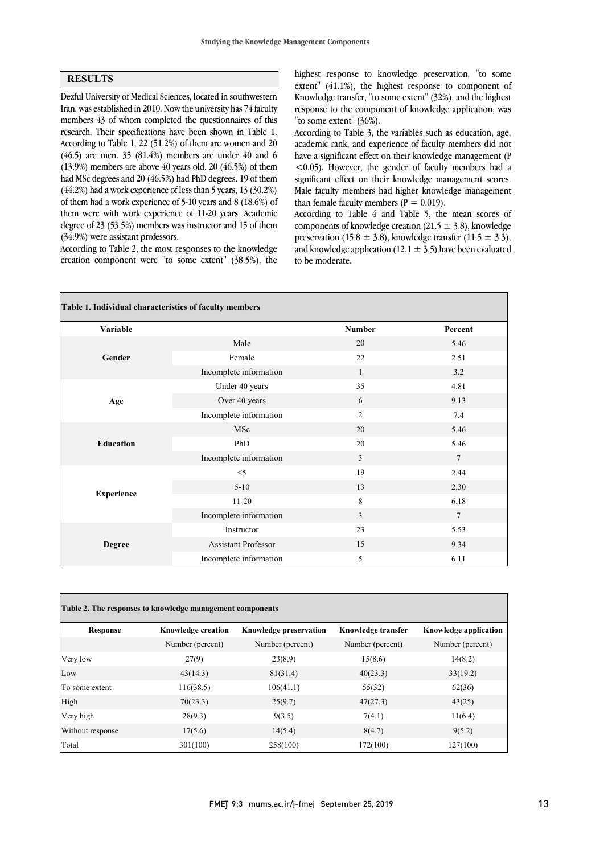### **RESULTS**

 Dezful University of Medical Sciences, located in southwestern Iran, was established in 2010. Now the university has 74 faculty members 43 of whom completed the questionnaires of this According to Table 1, 22 (51.2%) of them are women and 20 (46.5) are men. 35 (81.4%) members are under 40 and 6 (13.9%) members are above 40 years old. 20 (46.5%) of them had MSc degrees and 20 (46.5%) had PhD degrees. 19 of them of them had a work experience of 5-10 years and 8  $(18.6%)$  of them were with work experience of 11-20 years. Academic degree of 23 (53.5%) members was instructor and 15 of them research. Their specifications have been shown in Table 1. (44.2%) had a work experience of less than 5 years, 13 (30.2%) (34.9%) were assistant professors.

 creation component were "to some extent" (38.5%), the According to Table 2, the most responses to the knowledge

 extent" (41.1%), the highest response to component of Knowledge transfer, "to some extent" (32%), and the highest response to the component of knowledge application, was highest response to knowledge preservation, "to some "to some extent" (36%).

 According to Table 3, the variables such as education, age, have a significant effect on their knowledge management (P <0.05). However, the gender of faculty members had a significant effect on their knowledge management scores. Male faculty members had higher knowledge management academic rank, and experience of faculty members did not than female faculty members ( $P = 0.019$ ).

 According to Table 4 and Table 5, the mean scores of components of knowledge creation (21.5  $\pm$  3.8), knowledge preservation (15.8  $\pm$  3.8), knowledge transfer (11.5  $\pm$  3.3), and knowledge application (12.1  $\pm$  3.5) have been evaluated to be moderate.

| Table 1. Individual characteristics of faculty members |                            |               |                 |
|--------------------------------------------------------|----------------------------|---------------|-----------------|
| <b>Variable</b>                                        |                            | <b>Number</b> | Percent         |
|                                                        | Male                       | 20            | 5.46            |
| Gender                                                 | Female                     | 22            | 2.51            |
|                                                        | Incomplete information     | $\mathbf{1}$  | 3.2             |
|                                                        | Under 40 years             | 35            | 4.81            |
| Age                                                    | Over 40 years              | 6             | 9.13            |
|                                                        | Incomplete information     | 2             | 7.4             |
|                                                        | MSc                        | 20            | 5.46            |
| <b>Education</b>                                       | PhD                        | 20            | 5.46            |
|                                                        | Incomplete information     | 3             | $\overline{7}$  |
|                                                        | $<$ 5                      | 19            | 2.44            |
|                                                        | $5 - 10$                   | 13            | 2.30            |
| <b>Experience</b>                                      | $11-20$                    | 8             | 6.18            |
|                                                        | Incomplete information     | 3             | $7\phantom{.0}$ |
|                                                        | Instructor                 | 23            | 5.53            |
| <b>Degree</b>                                          | <b>Assistant Professor</b> | 15            | 9.34            |
|                                                        | Incomplete information     | 5             | 6.11            |

| <b>Response</b>  | <b>Knowledge creation</b> | <b>Knowledge preservation</b> | Knowledge transfer | <b>Knowledge application</b> |
|------------------|---------------------------|-------------------------------|--------------------|------------------------------|
|                  | Number (percent)          | Number (percent)              | Number (percent)   | Number (percent)             |
| Very low         | 27(9)                     | 23(8.9)                       | 15(8.6)            | 14(8.2)                      |
| Low              | 43(14.3)                  | 81(31.4)                      | 40(23.3)           | 33(19.2)                     |
| To some extent   | 116(38.5)                 | 106(41.1)                     | 55(32)             | 62(36)                       |
| High             | 70(23.3)                  | 25(9.7)                       | 47(27.3)           | 43(25)                       |
| Very high        | 28(9.3)                   | 9(3.5)                        | 7(4.1)             | 11(6.4)                      |
| Without response | 17(5.6)                   | 14(5.4)                       | 8(4.7)             | 9(5.2)                       |
| Total            | 301(100)                  | 258(100)                      | 172(100)           | 127(100)                     |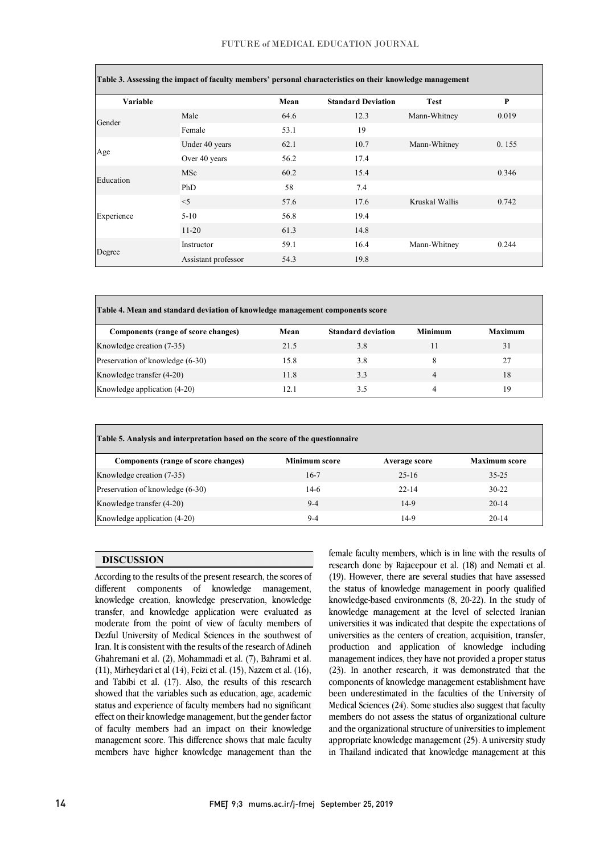#### FUTURE of MEDICAL EDUCATION JOURNAL

 $\overline{1}$ 

| Table 3. Assessing the impact of faculty members' personal characteristics on their knowledge management |                     |      |                           |                |       |
|----------------------------------------------------------------------------------------------------------|---------------------|------|---------------------------|----------------|-------|
| Variable                                                                                                 |                     | Mean | <b>Standard Deviation</b> | <b>Test</b>    | P     |
| Gender                                                                                                   | Male                | 64.6 | 12.3                      | Mann-Whitney   | 0.019 |
|                                                                                                          | Female              | 53.1 | 19                        |                |       |
| Age                                                                                                      | Under 40 years      | 62.1 | 10.7                      | Mann-Whitney   | 0.155 |
|                                                                                                          | Over 40 years       | 56.2 | 17.4                      |                |       |
| Education                                                                                                | <b>MSc</b>          | 60.2 | 15.4                      |                | 0.346 |
|                                                                                                          | PhD                 | 58   | 7.4                       |                |       |
| Experience                                                                                               | $<$ 5               | 57.6 | 17.6                      | Kruskal Wallis | 0.742 |
|                                                                                                          | $5-10$              | 56.8 | 19.4                      |                |       |
|                                                                                                          | $11 - 20$           | 61.3 | 14.8                      |                |       |
| Degree                                                                                                   | Instructor          | 59.1 | 16.4                      | Mann-Whitney   | 0.244 |
|                                                                                                          | Assistant professor | 54.3 | 19.8                      |                |       |

| Table 4. Mean and standard deviation of knowledge management components score |      |                           |                |                |  |
|-------------------------------------------------------------------------------|------|---------------------------|----------------|----------------|--|
| Components (range of score changes)                                           | Mean | <b>Standard deviation</b> | Minimum        | <b>Maximum</b> |  |
| Knowledge creation (7-35)                                                     | 21.5 | 3.8                       | 11             | 31             |  |
| Preservation of knowledge (6-30)                                              | 15.8 | 3.8                       | 8              | 27             |  |
| Knowledge transfer (4-20)                                                     | 11.8 | 3.3                       | $\overline{4}$ | 18             |  |
| Knowledge application (4-20)                                                  | 12.1 | 3.5                       | 4              | 19             |  |

| Table 5. Analysis and interpretation based on the score of the questionnaire |                      |               |                      |  |  |
|------------------------------------------------------------------------------|----------------------|---------------|----------------------|--|--|
| Components (range of score changes)                                          | <b>Minimum score</b> | Average score | <b>Maximum score</b> |  |  |
| Knowledge creation (7-35)                                                    | $16-7$               | $25-16$       | $35 - 25$            |  |  |
| Preservation of knowledge (6-30)                                             | $14-6$               | $22 - 14$     | $30-22$              |  |  |
| Knowledge transfer (4-20)                                                    | $9-4$                | $14-9$        | $20 - 14$            |  |  |
| Knowledge application (4-20)                                                 | $9-4$                | 14-9          | $20 - 14$            |  |  |

l

# **DISCUSSION**

 According to the results of the present research, the scores of different components of knowledge management, moderate from the point of view of faculty members of Dezful University of Medical Sciences in the southwest of Iran. It is consistent with the results of the research of Adineh (11), Mirheydari et al. (2), Mohammadi et al. (1), Balhami et al. (10),  $(11)$ , Mirheydari et al. (14), Feizi et al. (15), Nazem et al. (16), and Tabibi et al. (17). Also, the results of this research showed that the variables such as education, age, academic knowledge creation, knowledge preservation, knowledge transfer, and knowledge application were evaluated as Ghahremani et al. (2), Mohammadi et al. (7), Bahrami et al. status and experience of faculty members had no significant effect on their knowledge management, but the gender factor of faculty members had an impact on their knowledge management score. This difference shows that male faculty members have higher knowledge management than the

 female faculty members, which is in line with the results of research done by Rajaeepour et al. (18) and Nemati et al. (19). However, there are several studies that have assessed the status of knowledge management in poorly qualified knowledge management at the level of selected Iranian universities it was indicated that despite the expectations of universities as the centers of creation, acquisition, transfer, production and application of knowledge including management indices, they have not provided a proper status components of knowledge management establishment have been underestimated in the faculties of the University of Medical Sciences (24). Some studies also suggest that faculty and the organizational structure of universities to implement appropriate knowledge management (25). A university study in Thailand indicated that knowledge management at this knowledge-based environments (8, 20-22). In the study of (23). In another research, it was demonstrated that the members do not assess the status of organizational culture

ì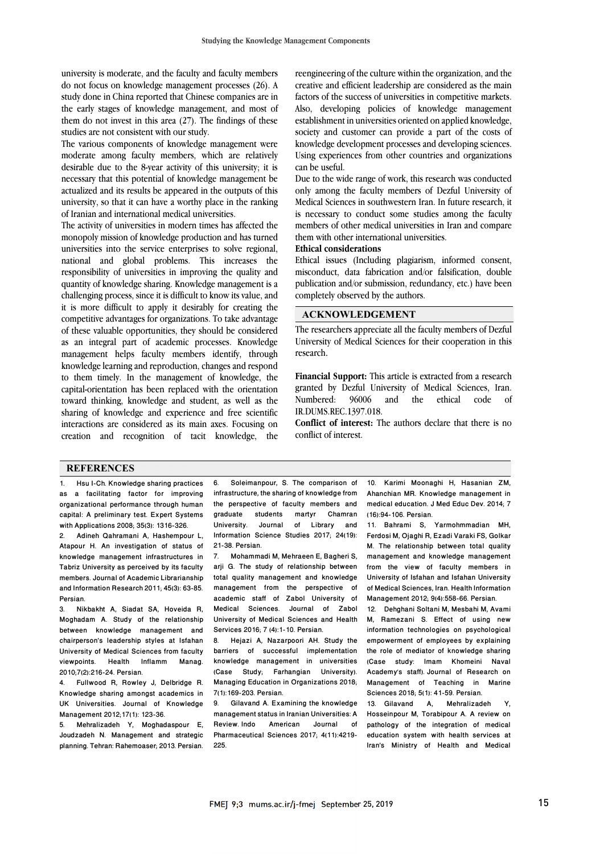university is moderate, and the faculty and faculty members do not focus on knowledge management processes (26). A study done in China reported that Chinese companies are in the early stages of knowledge management, and most of them do not invest in this area (27). The findings of these studies are not consistent with our study.

The various components of knowledge management were moderate among faculty members, which are relatively desirable due to the 8-year activity of this university; it is necessary that this potential of knowledge management be actualized and its results be appeared in the outputs of this university, so that it can have a worthy place in the ranking of Iranian and international medical universities.

The activity of universities in modern times has affected the monopoly mission of knowledge production and has turned universities into the service enterprises to solve regional, national and global problems. This increases the responsibility of universities in improving the quality and quantity of knowledge sharing. Knowledge management is a challenging process, since it is difficult to know its value, and it is more difficult to apply it desirably for creating the competitive advantages for organizations. To take advantage of these valuable opportunities, they should be considered as an integral part of academic processes. Knowledge management helps faculty members identify, through knowledge learning and reproduction, changes and respond to them timely. In the management of knowledge, the capital-orientation has been replaced with the orientation toward thinking, knowledge and student, as well as the sharing of knowledge and experience and free scientific interactions are considered as its main axes. Focusing on creation and recognition of tacit knowledge, the reengineering of the culture within the organization, and the creative and efficient leadership are considered as the main factors of the success of universities in competitive markets. Also, developing policies of knowledge management establishment in universities oriented on applied knowledge, society and customer can provide a part of the costs of knowledge development processes and developing sciences. Using experiences from other countries and organizations can be useful.

Due to the wide range of work, this research was conducted only among the faculty members of Dezful University of Medical Sciences in southwestern Iran. In future research, it is necessary to conduct some studies among the faculty members of other medical universities in Iran and compare them with other international universities.

# **Ethical considerations**

Ethical issues (Including plagiarism, informed consent, misconduct, data fabrication and/or falsification, double publication and/or submission, redundancy, etc.) have been completely observed by the authors.

#### **ACKNOWLEDGEMENT**

The researchers appreciate all the faculty members of Dezful University of Medical Sciences for their cooperation in this research.

**Financial Support:** This article is extracted from a research granted by Dezful University of Medical Sciences, Iran. Numbered: 96006 and the ethical code of IR.DUMS.REC.1397.018.

**Conflict of interest:** The authors declare that there is no conflict of interest.

### **REFERENCES**

1. Hsu I-Ch. Knowledge sharing practices as a facilitating factor for improving organizational performance through human capital: A preliminary test. Expert Systems with Applications 2008; 35(3): 1316-326.

2. Adineh Qahramani A, Hashempour L, Atapour H. An investigation of status of knowledge management infrastructures in Tabriz University as perceived by its faculty members. Journal of Academic Librarianship and Information Research 2011; 45(3): 63-85. Persian.

3. Nikbakht A, Siadat SA, Hoveida R, Moghadam A. Study of the relationship between knowledge management and chairperson's leadership styles at Isfahan University of Medical Sciences from faculty viewpoints. Health Inflamm Manag. 2010;7(2):216-24. Persian.

4. Fullwood R, Rowley J, Delbridge R. Knowledge sharing amongst academics in UK Universities. Journal of Knowledge Management 2012;17(1): 123-36.

5. Mehralizadeh Y, Moghadaspour E, Joudzadeh N. Management and strategic planning. Tehran: Rahemoaser; 2013. Persian.

6. Soleimanpour, S. The comparison of infrastructure, the sharing of knowledge from the perspective of faculty members and graduate students martyr Chamran University. Journal of Library and Information Science Studies 2017; 24(19): 21-38. Persian.

7. Mohammadi M, Mehraeen E, Bagheri S, arji G. The study of relationship between total quality management and knowledge management from the perspective of academic staff of Zabol University of Medical Sciences. Journal of Zabol University of Medical Sciences and Health Services 2016; 7 (4):1-10. Persian.<br>8 Hejazi A. Nazarpoori AH

Hejazi A, Nazarpoori AH. Study the barriers of successful implementation knowledge management in universities (Case Study; Farhangian University). Managing Education in Organizations 2018; 7(1):169-203. Persian.

9. Gilavand A. Examining the knowledge management status in Iranian Universities: A Review. Indo American Journal of Pharmaceutical Sciences 2017; 4(11):4219- 225.

10. Karimi Moonaghi H, Hasanian ZM, Ahanchian MR. Knowledge management in medical education. J Med Educ Dev. 2014; 7 (16):94-106. Persian.

11. Bahrami S, Yarmohmmadian MH, Ferdosi M, Ojaghi R, Ezadi Varaki FS, Golkar M. The relationship between total quality management and knowledge management from the view of faculty members in University of Isfahan and Isfahan University of Medical Sciences, Iran. Health Information Management 2012; 9(4):558-66. Persian.

12. Dehghani Soltani M, Mesbahi M, Avami M, Ramezani S. Effect of using new information technologies on psychological empowerment of employees by explaining the role of mediator of knowledge sharing (Case study: Imam Khomeini Naval Academy's staff). Journal of Research on Management of Teaching in Marine Sciences 2018; 5(1): 41-59. Persian.

13. Gilavand A, Mehralizadeh Y, Hosseinpour M, Torabipour A. A review on pathology of the integration of medical education system with health services at Iran's Ministry of Health and Medical